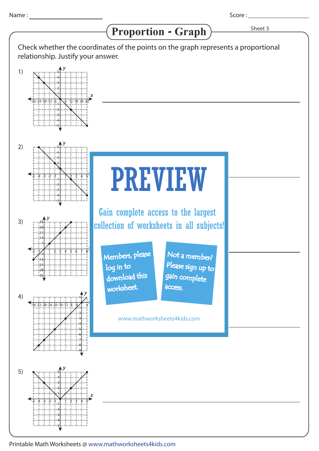1)

2)

3)

4)

## *x y*  $34 - 18 - 12$ 5 4 3 2 1 -1 -2 -3 -4 -5 *y* -5 -1-2-3-4 1 2 3 4 5 5 4 3 2  $\ddot{\uparrow}$ -1 -2 -3 -4 -5 *y*  $-36-32-28-24-20-16-12-8$   $-4$ 1  $-1$ -2 -3 -4 -5 -6 -7 -8 -9 *y* -1-2 1 2 3 4 5 6 7 8 35 28 21 14 7 -7 -14 -21 -28 -35 Proportion - Graph > Sheet 3 Score : \_\_\_\_\_\_\_\_\_ Check whether the coordinates of the points on the graph represents a proportional relationship. Justify your answer. PREVIEW www.mathworksheets4kids.com Members, please download this worksheet. log in to Not a member? gain complete Please sign up to access. Gain complete access to the largest collection of worksheets in all subjects!



Printable Math Worksheets @ www.mathworksheets4kids.com